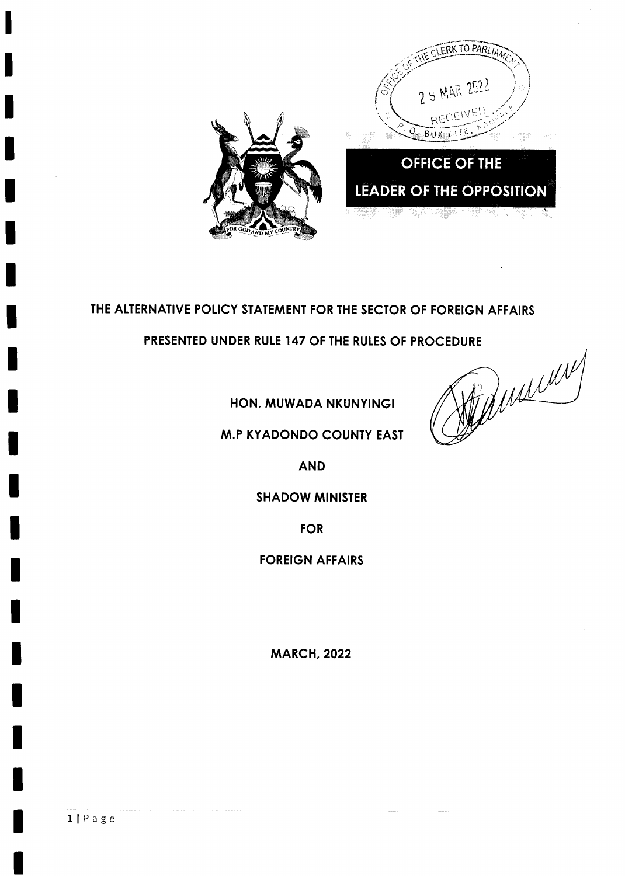

# THE ALTERNATIVE POLICY STATEMENT FOR THE SECTOR OF FOREIGN AFFAIRS

PRESENTED UNDER RULE 147 OF THE RULES OF PROCEDURE

HON. MUWADA NKUNYINGI

**M.P KYADONDO COUNTY EAST** 

MARCHY

**AND** 

#### **SHADOW MINISTER**

**FOR** 

**FOREIGN AFFAIRS** 

**MARCH, 2022**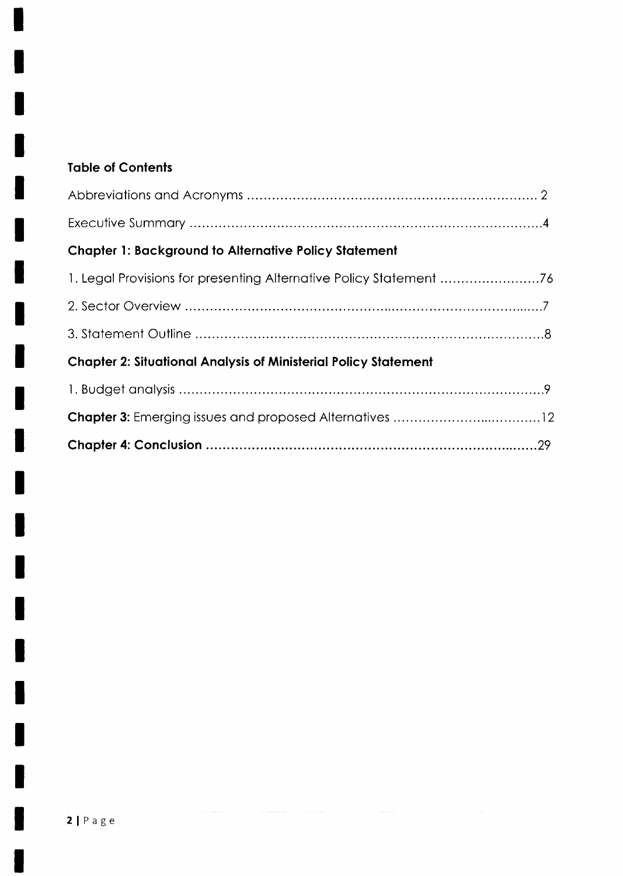# **Table of Contents**

| <b>Chapter 1: Background to Alternative Policy Statement</b>           |  |
|------------------------------------------------------------------------|--|
| 1. Legal Provisions for presenting Alternative Policy Statement 76     |  |
|                                                                        |  |
|                                                                        |  |
| <b>Chapter 2: Situational Analysis of Ministerial Policy Statement</b> |  |
|                                                                        |  |
|                                                                        |  |
|                                                                        |  |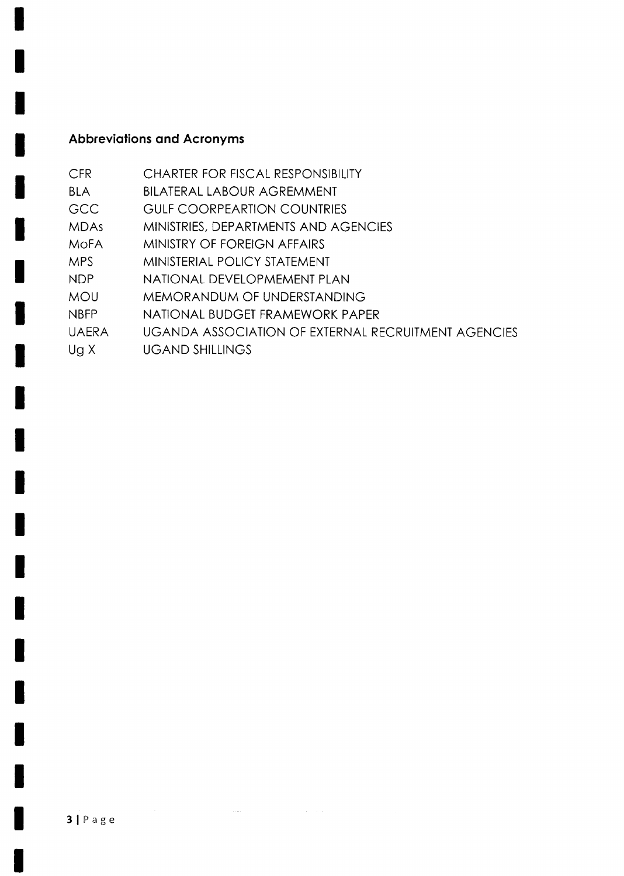# **Abbreviations and Acronyms**

| <b>CFR</b>          | <b>CHARTER FOR FISCAL RESPONSIBILITY</b>            |
|---------------------|-----------------------------------------------------|
| <b>BLA</b>          | <b>BILATERAL LABOUR AGREMMENT</b>                   |
| <b>GCC</b>          | <b>GULF COORPEARTION COUNTRIES</b>                  |
| <b>MDAs</b>         | MINISTRIES, DEPARTMENTS AND AGENCIES                |
| <b>MOFA</b>         | MINISTRY OF FOREIGN AFFAIRS                         |
| <b>MPS</b>          | MINISTERIAL POLICY STATEMENT                        |
| <b>NDP</b>          | NATIONAL DEVELOPMEMENT PLAN                         |
| <b>MOU</b>          | MEMORANDUM OF UNDERSTANDING                         |
| <b>NBFP</b>         | NATIONAL BUDGET FRAMEWORK PAPER                     |
| <b>UAERA</b>        | UGANDA ASSOCIATION OF EXTERNAL RECRUITMENT AGENCIES |
| $U_{\mathcal{Q}}$ X | <b>UGAND SHILLINGS</b>                              |
|                     |                                                     |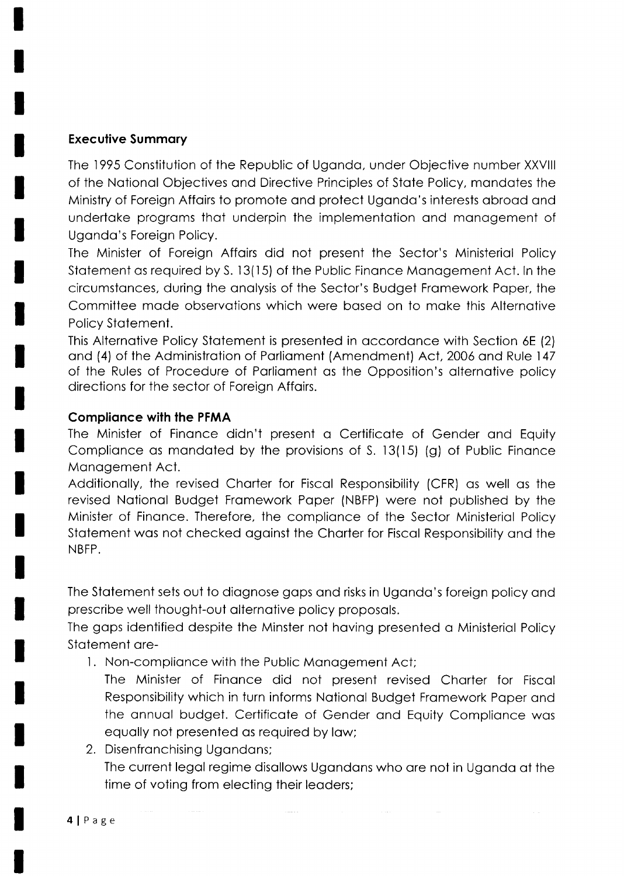#### **Executive Summary**

The 1995 Constitution of the Republic of Uganda, under Objective number XXVIII of the National Objectives and Directive Principles of State Policy, mandates the Ministry of Foreign Affairs to promote and protect Uganda's interests abroad and undertake programs that underpin the implementation and management of Uganda's Foreign Policy.

The Minister of Foreign Affairs did not present the Sector's Ministerial Policy Statement as required by S. 13(15) of the Public Finance Management Act. In the circumstances, during the analysis of the Sector's Budget Framework Paper, the Committee made observations which were based on to make this Alternative Policy Statement.

This Alternative Policy Statement is presented in accordance with Section 6E (2) and (4) of the Administration of Parliament (Amendment) Act, 2006 and Rule 147 of the Rules of Procedure of Parliament as the Opposition's alternative policy directions for the sector of Foreign Affairs.

#### **Compliance with the PFMA**

The Minister of Finance didn't present a Certificate of Gender and Equity Compliance as mandated by the provisions of S. 13(15) (g) of Public Finance Management Act.

Additionally, the revised Charter for Fiscal Responsibility (CFR) as well as the revised National Budget Framework Paper (NBFP) were not published by the Minister of Finance. Therefore, the compliance of the Sector Ministerial Policy Statement was not checked against the Charter for Fiscal Responsibility and the NBFP.

The Statement sets out to diagnose gaps and risks in Uganda's foreign policy and prescribe well thought-out alternative policy proposals.

The gaps identified despite the Minster not having presented a Ministerial Policy Statement are-

1. Non-compliance with the Public Management Act;

The Minister of Finance did not present revised Charter for Fiscal Responsibility which in turn informs National Budget Framework Paper and the annual budget. Certificate of Gender and Equity Compliance was equally not presented as required by law;

2. Disenfranchising Ugandans; The current legal regime disallows Ugandans who are not in Uganda at the time of voting from electing their leaders;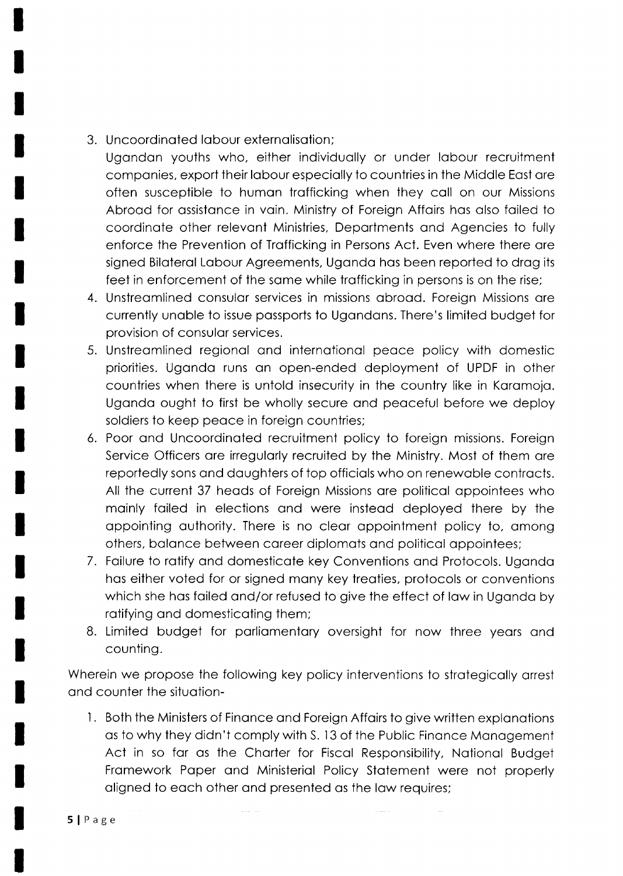3. Uncoordinoted lobour externolisotion;

Ugondon youths who, either individuolly or under lobour recruitment companies, export their labour especially to countries in the Middle East are often susceptible to human trafficking when they call on our Missions Abrood for ossistonce in voin. Ministry of Foreign Affoirs hos olso foiled to coordinate other relevant Ministries, Departments and Agencies to fully enforce the Prevention of Trofficking in Persons Act. Even where there ore signed Biloterol Lobour Agreements, Ugondo hos been reported to drog its feet in enforcement of the some while trofficking in persons is on the rise;

- 4. Unstreomlined consulor services in missions obrood. Foreign Missions ore currently unoble to issue possports to Ugondons. There's limited budget for provision of consulor services.
- 5. Unstreomlined regionol ond internotionol peoce policy with domestic priorities. Ugondo runs on open-ended deployment of UPDF in other countries when there is untold insecurity in the country like in Koromojo. Ugondo ought to first be wholly secure ond peoceful before we deploy soldiers to keep peoce in foreign countries;
- 6. Poor ond Uncoordinoted recruitment policy to foreign missions. Foreign Service Officers ore irregulorly recruited by the Ministry. Most of them ore reportedly sons ond doughters of top officiols who on renewoble controcts. All the current 37 heods of Foreign Missions ore politicol oppointees who mainly failed in elections and were instead deployed there by the oppointing outhority. There is no cleor oppointment policy to, omong others, balance between career diplomats and political appointees;
- 7. Foilure to rotify ond domesticote key Conventions ond Protocols. Ugondo hos either voted for or signed mony key treoties, protocols or conventions which she has failed and/or refused to give the effect of law in Uganda by rotifying ond domesticoting them;
- 8. Limited budget for parliamentary oversight for now three years and counting.

Wherein we propose the following key policy interventions to strategically arrest ond counter the situotion-

1. Both the Ministers of Finance and Foreign Affairs to give written explanations os to why they didn't comply with S. l3 of the Public Finonce Monogement Act in so for os the Chorter for Fiscol Responsibility, Notionol Budget Framework Paper and Ministerial Policy Statement were not properly oligned to eoch other ond presented os the low requires;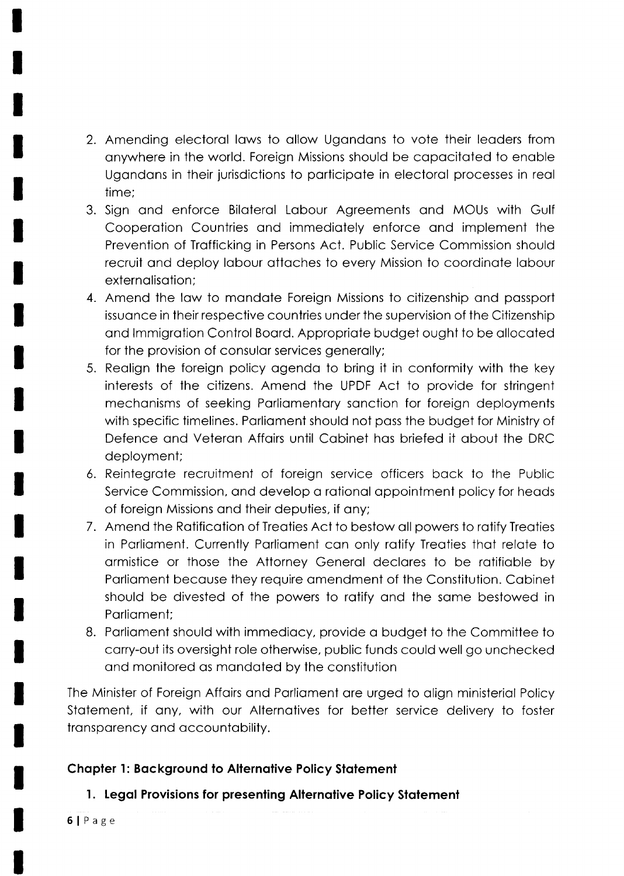- 2. Amending electoral laws to allow Ugandans to vote their leaders from onywhere in the world. Foreign Missions should be copocitoted to enoble Ugondons in their jurisdictions to porticipote in electorol processes in reol time;
- 3. Sign ond enforce Biloterol Lobour Agreements ond MOUs with Gulf Cooperation Countries and immediately enforce and implement the Prevention of Trofficking in Persons Act. Public Service Commission should recruit and deploy labour attaches to every Mission to coordinate labour externalisation:
- 4. Amend the low to mondote Foreign Missions to citizenship ond possport issuance in their respective countries under the supervision of the Citizenship ond lmmigrotion Control Boord. Appropriote budget ought to be ollocoted for the provision of consular services generally;
- 5. Reolign the foreign policy ogendo to bring it in conformity with the key interests of the citizens. Amend the UPDF Act to provide for stringent mechanisms of seeking Parliamentary sanction for foreign deployments with specific timelines. Parliament should not pass the budget for Ministry of Defence ond Veteron Affoirs until Cobinet hos briefed it obout the DRC deployment;
- 6. Reintegrote recruitment of foreign service officers bock to the Public Service Commission, and develop a rational appointment policy for heads of foreign Missions and their deputies, if any;
- 7. Amend the Ratification of Treaties Act to bestow all powers to ratify Treaties in Porlioment. Currently Porlioment con only rotify Treoties thot relote to ormistice or those the Attorney Generol declores to be rotifioble by Porlioment becouse they require omendment of the Constitution. Cobinet should be divested of the powers to rotify ond the some bestowed in Porlioment;
- B. Porlioment should with immediocy, provide o budget to the Committee to corry-out its oversight role otherwise, public funds could well go unchecked ond monitored os mondoted by the constitution

The Minister of Foreign Affairs and Parliament are urged to align ministerial Policy Stotement, if ony, with our Alternotives for better service delivery to foster transparency and accountability.

## Chapter 1: Background to Alternative Policy Statement

## 1. Legal Provisions for presenting Alternative Policy Statement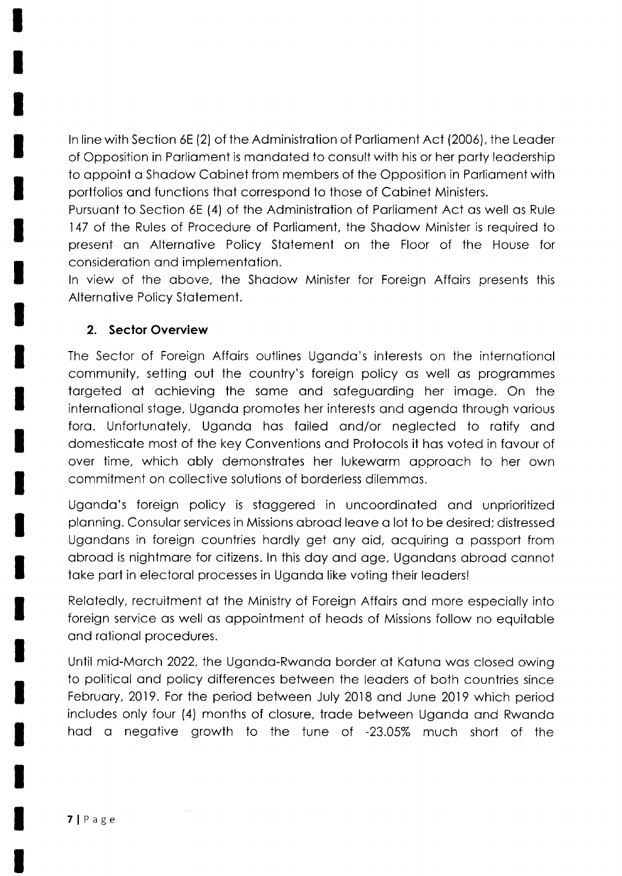In line with Section 6E (2) of the Administration of Parliament Act (2006), the Leader of Opposition in Parliament is mandated to consult with his or her party leadership to appoint a Shadow Cabinet from members of the Opposition in Parliament with portfolios ond functions thot correspond to those of Cobinet Ministers.

Pursuant to Section 6E (4) of the Administration of Parliament Act as well as Rule 147 of the Rules of Procedure of Porlioment, the Shodow Minister is required to present on Alternotive Policy Stotement on the Floor of the House for considerotion ond implementotion.

ln view of the obove, the Shodow Minister for Foreign Affoirs presents this Alternotive Policy Stotement.

## 2. Sector Overview

The Sector of Foreign Affairs outlines Uganda's interests on the international community, setting out the country's foreign policy os well os progrommes torgeted of ochieving the some ond sofeguording her imoge. On the internotionol stoge, Ugondo promotes her interests ond ogendo through vorious foro. Unfortunotely, Ugondo hos foiled ond/or neglected to rotify ond domesticote most of the key Conventions ond Protocols it hos voted in fovour of over time, which obly demonstrotes her lukeworm opprooch to her own commitment on collective solutions of borderless dilemmos.

Ugondo's foreign policy is stoggered in uncoordinoted ond unprioritized plonning. Consulor services in Missions obrood leove o lot to be desired; distressed Ugandans in foreign countries hardly get any aid, acquiring a passport from obrood is nightmore for citizens. ln this doy ond oge, Ugondons obrood connot take part in electoral processes in Uganda like voting their leaders!

Relotedly, recruitment of the Ministry of Foreign Affoirs ond more especiolly into foreign service os well os oppointment of heods of Missions follow no equitoble and rational procedures.

Until mid-Morch 2022, the Ugondo-Rwondo border of Kotuno wos closed owing to politicol ond policy differences between the leoders of both countries since Februory, 2019. For the period between July 2018 ond June 2019 which period includes only four (4) months of closure, trade between Uganda and Rwanda hod o negotive growth to the tune of -23.05% much short of the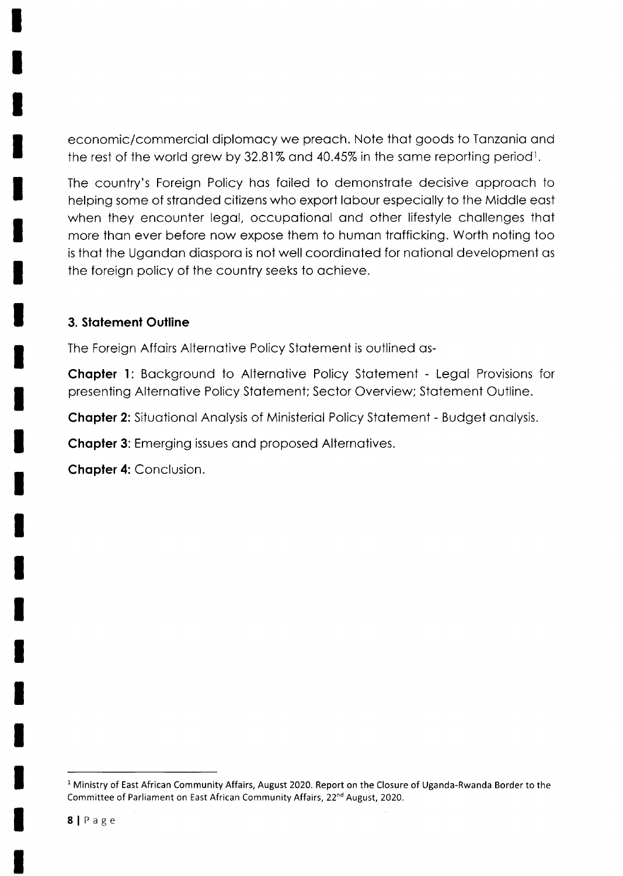economic/commerciol diplomocy we preoch. Note thot goods to Tonzonio ond the rest of the world grew by 32.81% and 40.45% in the same reporting period<sup>1</sup>.

The country's Foreign Policy hos foiled to demonstrote decisive opprooch to helping some of stranded citizens who export labour especially to the Middle east when they encounter legal, occupational and other lifestyle challenges that more than ever before now expose them to human trafficking. Worth noting too is thot the Ugondon diosporo is not well coordinoted for notionol development os the foreign policy of the country seeks to ochieve.

## 3. Statement Outline

The Foreign Affoirs Alternotive Policy Stotement is outlined os-

**Chapter 1:** Background to Alternative Policy Statement - Legal Provisions for presenting Alternotive Policy Stotement; Sector Overview; Stotement Outline.

Chapter 2: Situational Analysis of Ministerial Policy Statement - Budget analysis.

**Chapter 3:** Emerging issues and proposed Alternatives.

**Chapter 4: Conclusion.** 

<sup>&</sup>lt;sup>1</sup> Ministry of East African Community Affairs, August 2020. Report on the Closure of Uganda-Rwanda Border to the Committee of Parliament on East African Community Affairs, 22<sup>nd</sup> August, 2020.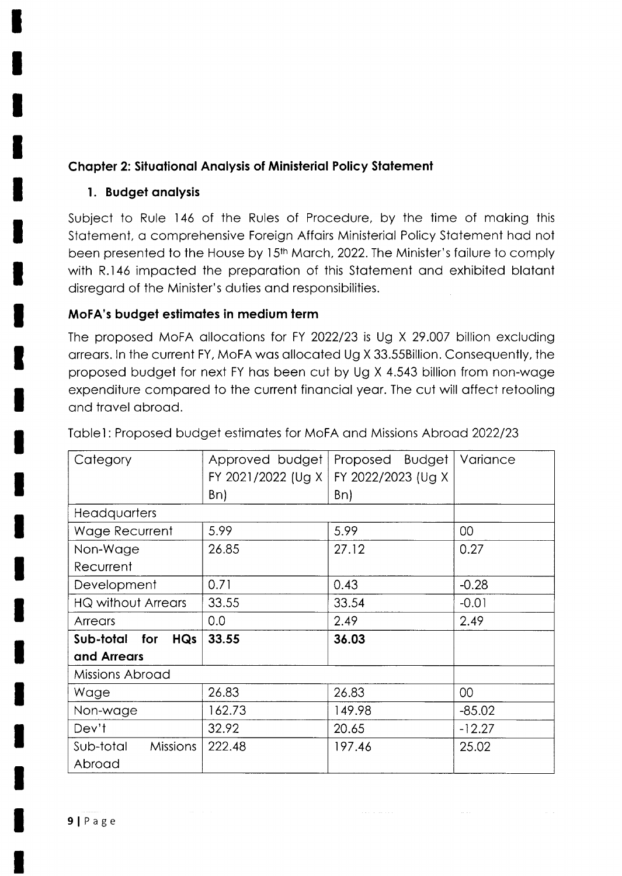# **Chapter 2: Situational Analysis of Ministerial Policy Statement**

# 1. Budget analysis

Subject to Rule 146 of the Rules of Procedure, by the time of making this Statement, a comprehensive Foreign Affairs Ministerial Policy Statement had not been presented to the House by 15<sup>th</sup> March, 2022. The Minister's failure to comply with R.146 impacted the preparation of this Statement and exhibited blatant disregard of the Minister's duties and responsibilities.

# MoFA's budget estimates in medium term

The proposed MoFA allocations for FY 2022/23 is Ug X 29.007 billion excluding arrears. In the current FY, MoFA was allocated Ug X 33.55Billion. Consequently, the proposed budget for next FY has been cut by Ug X 4.543 billion from non-wage expenditure compared to the current financial year. The cut will affect retooling and travel abroad.

| Category                       | Approved budget            | Proposed Budget    | Variance |
|--------------------------------|----------------------------|--------------------|----------|
|                                | FY 2021/2022 (Ug X $\vert$ | FY 2022/2023 (Ug X |          |
|                                | Bn)                        | Bn)                |          |
| Headquarters                   |                            |                    |          |
| Wage Recurrent                 | 5.99                       | 5.99               | 00       |
| Non-Wage                       | 26.85                      | 27.12              | 0.27     |
| Recurrent                      |                            |                    |          |
| Development                    | 0.71                       | 0.43               | $-0.28$  |
| <b>HQ without Arrears</b>      | 33.55                      | 33.54              | $-0.01$  |
| Arrears                        | 0.0                        | 2.49               | 2.49     |
| <b>HQs</b><br>Sub-total<br>for | 33.55                      | 36.03              |          |
| and Arrears                    |                            |                    |          |
| Missions Abroad                |                            |                    |          |
| Wage                           | 26.83                      | 26.83              | $00\,$   |
| Non-wage                       | 162.73                     | 149.98             | $-85.02$ |
| Dev't                          | 32.92                      | 20.65              | $-12.27$ |
| <b>Missions</b><br>Sub-total   | 222.48                     | 197.46             | 25.02    |
| Abroad                         |                            |                    |          |

Table1: Proposed budget estimates for MoFA and Missions Abroad 2022/23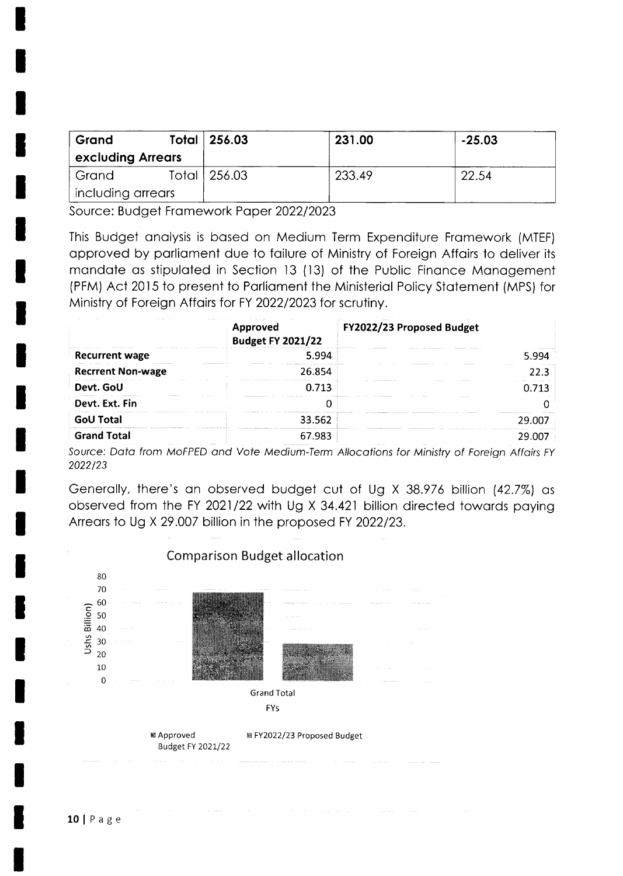| Grand             | Total 256.03   | 231.00 | $-25.03$ |
|-------------------|----------------|--------|----------|
| excluding Arrears |                |        |          |
| Grand             | Total   256.03 | 233.49 | 22.54    |
| including arrears |                |        |          |

Source: Budget Framework Paper 2022/2023

This Budget analysis is based on Medium Term Expenditure Framework (MTEF) approved by parliament due to failure of Ministry of Foreign Affairs to deliver its mandate as stipulated in Section 13 (13) of the Public Finance Management (PFM) Act 2015 to present to Parliament the Ministerial Policy Statement (MPS) for Ministry of Foreign Affairs for FY 2022/2023 for scrutiny.

|                          | <b>ALCOHOL: 4</b><br><b>Approved</b><br><b>Budget FY 2021/22</b> | FY2022/23 Proposed Budget |        |
|--------------------------|------------------------------------------------------------------|---------------------------|--------|
| <b>Recurrent wage</b>    | 5.994                                                            |                           |        |
| <b>Recrrent Non-wage</b> | 26.854                                                           |                           | 22.3   |
| Devt. GoU                | 0.713                                                            |                           |        |
| Devt. Ext. Fin           |                                                                  |                           |        |
| <b>GoU Total</b>         | 33.562                                                           |                           | 29.007 |
| <b>Grand Total</b>       | 67.983                                                           |                           | 29 UU. |

Source: Data from MoFPED and Vote Medium-Term Allocations for Ministry of Foreign Affairs FY 2022/23

Generally, there's an observed budget cut of Ug X 38.976 billion (42.7%) as observed from the FY 2021/22 with Ug X 34.421 billion directed towards paying Arrears to Ug X 29.007 billion in the proposed FY 2022/23.

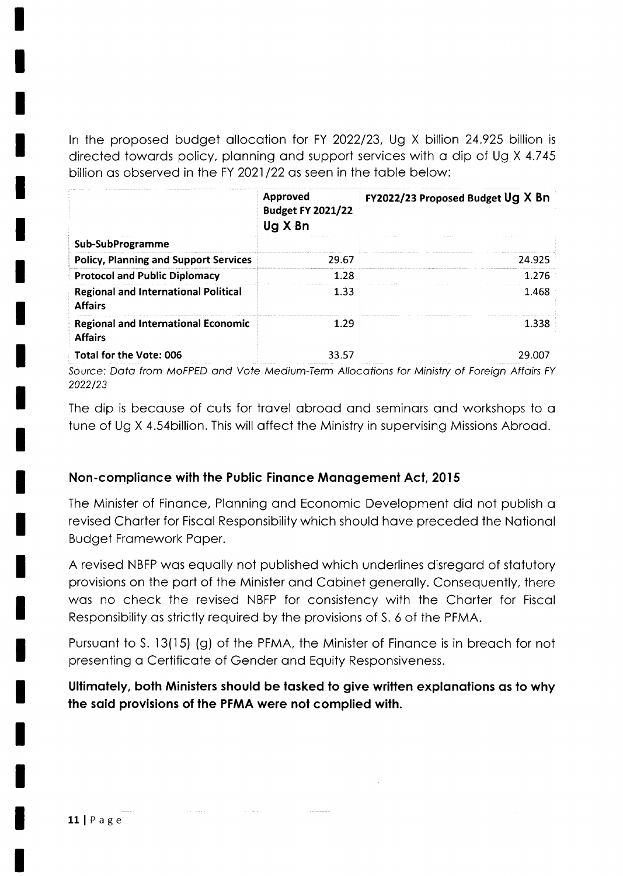In the proposed budget allocation for FY 2022/23, Ug X billion 24.925 billion is directed towords policy, plonning ond support services with o dip of Ug X 4.745 billion as observed in the FY 2021/22 as seen in the table below:

|                                                               | Approved<br><b>Budget FY 2021/22</b><br>Ug X Bn | FY2022/23 Proposed Budget Ug X Bn |
|---------------------------------------------------------------|-------------------------------------------------|-----------------------------------|
| Sub-SubProgramme                                              |                                                 |                                   |
| <b>Policy, Planning and Support Services</b>                  | 29.67                                           | 24.925                            |
| <b>Protocol and Public Diplomacy</b>                          | 1.28                                            | 1.276                             |
| <b>Regional and International Political</b><br><b>Affairs</b> | 1.33                                            | 1.468                             |
| <b>Regional and International Economic</b><br><b>Affairs</b>  | 1.29                                            | 1.338                             |
| Total for the Vote: 006                                       | 33.57                                           | 29.007                            |

Source: Data from MoFPED and Vote Medium-Term Allocations for Ministry of Foreign Affairs FY 2022/23

The dip is because of cuts for travel abroad and seminars and workshops to a tune of Ug X 4.54billion. This will offect the Ministry in supervising Missions Abrood.

## Non-compliance with the Public Finance Management Act, 2015

The Minister of Finonce, Plonning ond Economic Development did not publish o revised Chorter for Fiscol Responsibility which should hove preceded the Notionol Budget Fromework Poper.

A revised NBFP wos equolly not published which underlines disregord of stotutory provisions on the port of the Minister ond Cobinet generolly. Consequently, there was no check the revised NBFP for consistency with the Charter for Fiscal Responsibility os strictly required by the provisions of S. 6 of the PFMA.

Pursuant to S. 13(15) (g) of the PFMA, the Minister of Finance is in breach for not presenting o Certificote of Gender ond Equity Responsiveness.

Ultimately, both Ministers should be tasked to give written explanations as to why the said provisions of the PFMA were not complied with.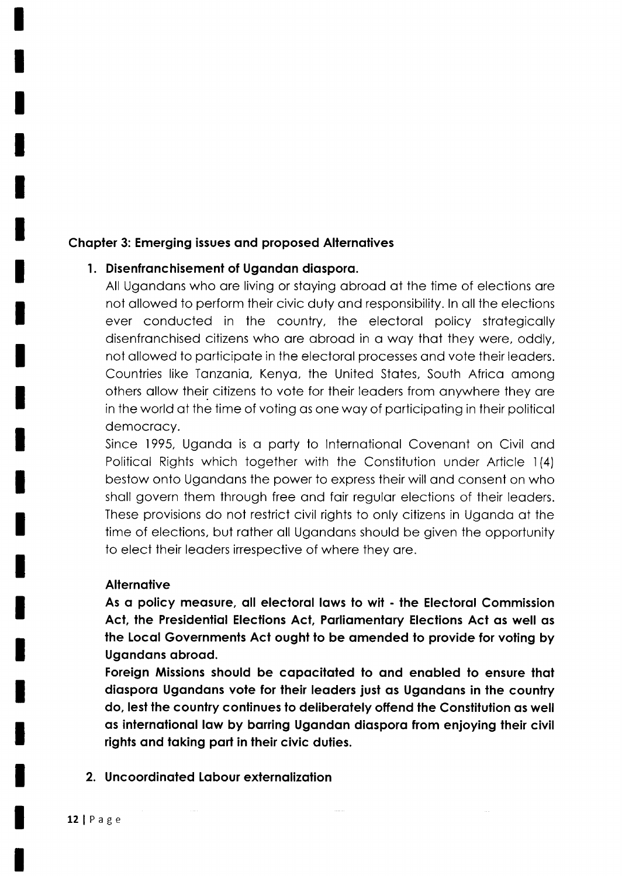#### Chapter 3: Emerging issues and proposed Alternatives

#### l. Disenfronchisement of Ugondon diosporo.

All Ugandans who are living or staying abroad at the time of elections are not ollowed to perform their civic duty ond responsibility. ln oll the elections ever conducted in the country, the electorol policy strotegicolly disenfronchised citizens who ore obrood in o woy thot they were, oddly, not ollowed to porticipote in the electorol processes ond vote their leoders. Countries like Tonzonio, Kenyo, the United Stotes, South Africo omong others ollow their citizens to vote for their leoders from onywhere they ore in the world of the time of voting os one woy of porticipoting in their politicol democracy.

Since 1995, Uganda is a party to International Covenant on Civil and Politicol Rights which together with the Constitution under Article l(4) bestow onto Ugondons the power to express their will ond consent on who sholl govern them through free ond foir regulor elections of their leoders. These provisions do not restrict civil rights to only citizens in Ugondo of the time of elections, but rather all Ugandans should be given the opportunity to elect their leaders irrespective of where they are.

#### **Alternative**

As a policy measure, all electoral laws to wit - the Electoral Commission Act, the Presidential Elections Act, Parliamentary Elections Act as well as the Local Governments Act ought to be amended to provide for voting by Ugandans abroad.

Foreign Missions should be capacitated to and enabled to ensure that diaspora Ugandans vote for their leaders just as Ugandans in the country do, lest the country continues to deliberately offend the Constitution as well qs internolionol low by borring Ugondon diosporo from enjoying their civil rights and taking part in their civic duties.

2. Uncoordinated Labour externalization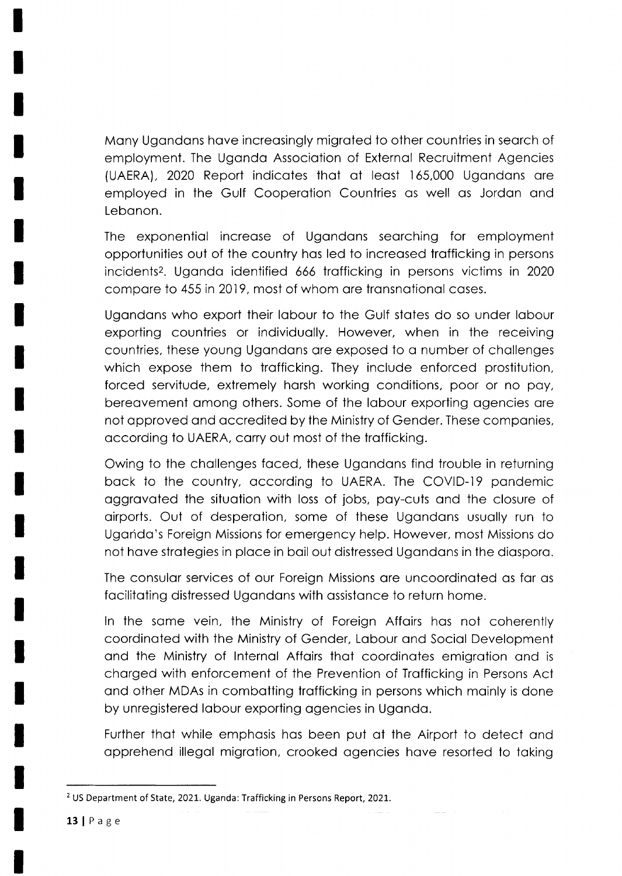Mony Ugondons hove increosingly migroted to other countries in seorch of employment. The Ugondo Associotion of Externol Recruitment Agencies (UAERA), 2020 Report indicates that at least 165,000 Ugandans are employed in the Gulf Cooperotion Countries os well os Jordon ond Lebanon.

The exponentiol increose of Ugondons seorching for employment opportunities out of the country hos led to increosed trofficking in persons incidents<sup>2</sup>. Uganda identified 666 trafficking in persons victims in 2020 compare to 455 in 2019, most of whom are transnational cases.

Ugandans who export their labour to the Gulf states do so under labour exporting countries or individuolly. However, when in the receiving countries, these young Ugondons ore exposed to o number of chollenges which expose them to trafficking. They include enforced prostitution, forced servitude, extremely horsh working conditions, poor or no poy, bereovement omong others. Some of the lobour exporting ogencies ore not opproved ond occredited by the Ministry of Gender. These componies, occording to UAERA, corry out most of the trofficking.

Owing to the chollenges foced, these Ugondons find trouble in returning back to the country, according to UAERA. The COVID-19 pandemic oggrovoted the situotion with loss of jobs, poy-cuts ond the closure of oirports. Out of desperotion, some of these Ugondons usuolly run to Ugondo's Foreign Missions for emergency help. However, most Missions do not hove strotegies in ploce in boil out distressed Ugondons in the diosporo.

The consulor services of our Foreign Missions ore uncoordinoted os for os focilitoting distressed Ugondons with ossistonce to return home.

ln the some vein, the Ministry of Foreign Affoirs hos not coherently coordinoted with the Ministry of Gender, Lobour ond Sociol Development ond the Ministry of lnternol Affoirs thot coordinotes emigrotion ond is chorged with enforcement of the Prevention of Trofficking in Persons Act and other MDAs in combatting trafficking in persons which mainly is done by unregistered lobour exporting ogencies in Ugondo.

Further thot while emphosis hos been put of the Airport to detect ond opprehend illegol migrotion, crooked ogencies hove resorted to toking

<sup>&</sup>lt;sup>2</sup> US Department of State, 2021. Uganda: Trafficking in Persons Report, 2021.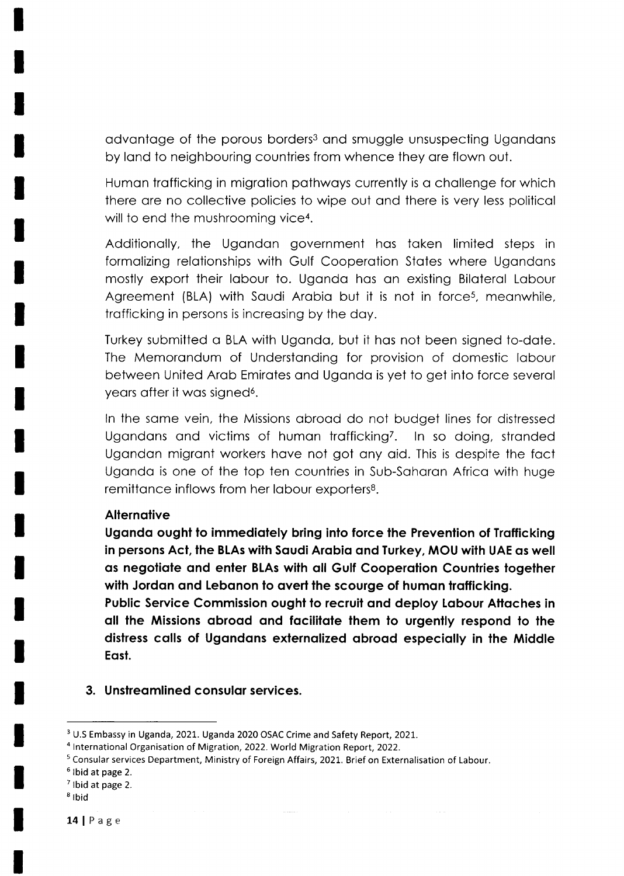advantage of the porous borders<sup>3</sup> and smuggle unsuspecting Ugandans by land to neighbouring countries from whence they are flown out.

Humon trofficking in migrotion pothwoys currently is o chollenge for which there ore no collective policies to wipe out ond there is very less politicol will to end the mushrooming vice<sup>4</sup>.

Additionolly, the Ugondon government hos token limited steps in formalizing relationships with Gulf Cooperation States where Ugandans mostly export their labour to. Uganda has an existing Bilateral Labour Agreement (BLA) with Saudi Arabia but it is not in force<sup>5</sup>, meanwhile, trofficking in persons is increosing by the doy.

Turkey submitted o BLA with Ugondo, but it hos not been signed to-dote. The Memorandum of Understanding for provision of domestic labour between United Arob Emirotes ond Ugondo is yet to get into force severol years after it was signed<sup>6</sup>.

ln the some vein, the Missions obrood do not budget lines for distressed Ugandans and victims of human trafficking<sup>7</sup>. In so doing, stranded Ugondon migront workers hove not got ony oid. This is despite the foct Ugondo is one of the top ten countries in Sub-Sohoron Africo with huge remittance inflows from her labour exporters<sup>8</sup>.

#### **Alternative**

Uganda ought to immediately bring into force the Prevention of Trafficking in persons Act, the BLAs with Saudi Arabia and Turkey, MOU with UAE as well as negotiate and enter BLAs with all Gulf Cooperation Countries together with Jordan and Lebanon to avert the scourge of human trafficking.

Public Service Commission ought to recruit and deploy Labour Attaches in oll the Missions obrood ond focililote lhem lo urgently respond to the distress calls of Ugandans externalized abroad especially in the Middle Eosl.

3. Unstreamlined consular services.

<sup>&</sup>lt;sup>3</sup> U.S Embassy in Uganda, 2021. Uganda 2020 OSAC Crime and Safety Report, 2021.

<sup>&</sup>lt;sup>4</sup> International Organisation of Migration, 2022. World Migration Report, 2022.

<sup>&</sup>lt;sup>5</sup> Consular services Department, Ministry of Foreign Affairs, 2021. Brief on Externalisation of Labour.

 $6$  Ibid at page 2.

 $<sup>7</sup>$  Ibid at page 2.</sup>

 $8$  Ibid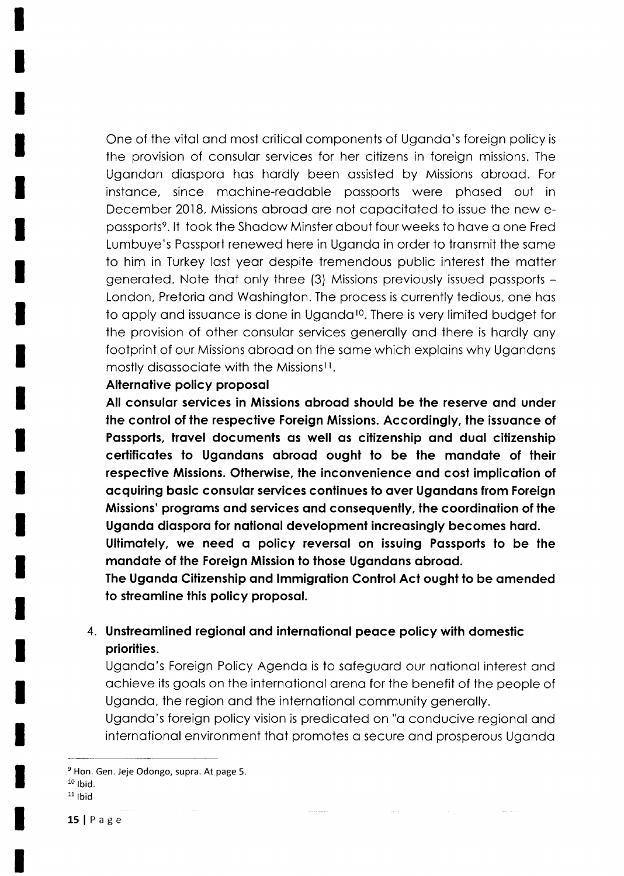One of the vital and most critical components of Uganda's foreign policy is the provision of consulor services for her citizens in foreign missions. The Ugondon diosporo hos hordly been ossisted by Missions obrood. For instance, since machine-readable passports were phased out in December 2018, Missions obrood ore not copocitoted to issue the new epassports<sup>9</sup>. It took the Shadow Minster about four weeks to have a one Fred Lumbuye's Possport renewed here in Ugondo in order to tronsmit the some to him in Turkey lost yeor despite tremendous public interest the motter generoted. Note thot only three (3) Missions previously issued possports - London, Pretoria and Washington. The process is currently tedious, one has to apply and issuance is done in Uganda<sup>10</sup>. There is very limited budget for the provision of other consulor services generolly ond there is hordly ony footprint of our Missions abroad on the same which explains why Ugandans mostly disassociate with the Missions<sup>11</sup>.

#### Alternative policy proposal

All consular services in Missions abroad should be the reserve and under the control of the respective Foreign Missions. Accordingly, the issuance of Passports, travel documents as well as citizenship and dual citizenship certificates to Ugandans abroad ought to be the mandate of their respective Missions. Otherwise, the inconvenience and cost implication of ocquiring bosic consulor services conlinues lo over Ugondons from Foreign Missions' programs and services and consequently, the coordination of the Uganda diaspora for national development increasingly becomes hard.

Ultimately, we need a policy reversal on issuing Passports to be the mandate of the Foreign Mission to those Ugandans abroad.

The Uganda Citizenship and Immigration Control Act ought to be amended to streamline this policy proposal.

# 4. Unstreamlined regional and international peace policy with domestic priorities.

Ugondo's Foreign Policy Agendo is to sofeguord our notionol interest ond ochieve its gools on the internotionol oreno for the benefit of the people of Uganda, the region and the international community generally.

Uganda's foreign policy vision is predicated on "a conducive regional and international environment that promotes a secure and prosperous Uganda

15 |  $P$  a g e

 $9$  Hon. Gen. Jeje Odongo, supra. At page 5.  $10$  lbid.

 $11$  lbid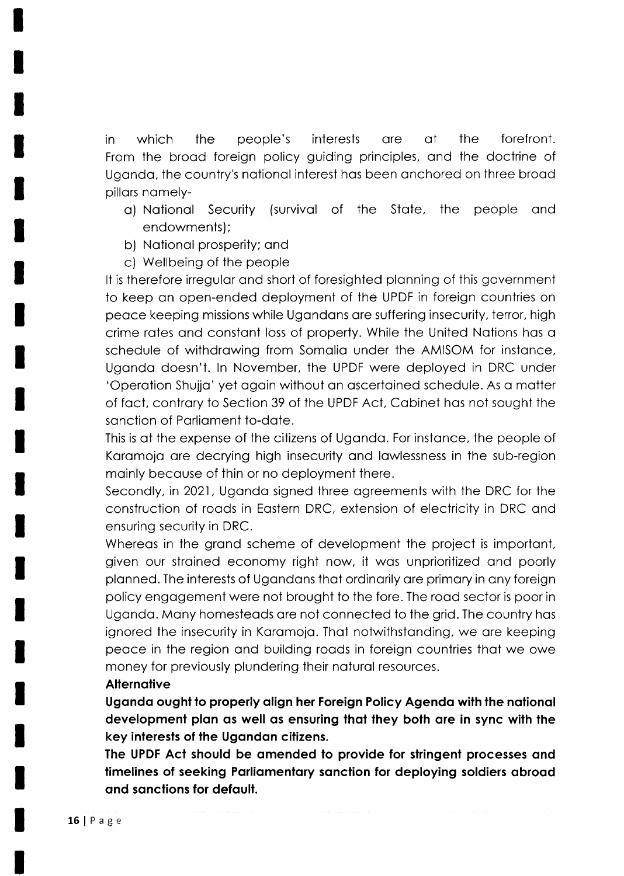in which the people's interests ore of the forefront. From the brood foreign policy guiding principles, ond the doctrine of Ugondo, the country's notionol interest hos been onchored on three brood pillors nomely-

- o) Notionol Security (survivol of the Stote, the people ond endowments);
- b) Notionol prosperity; ond
- c) Wellbeing of the people

It is therefore irregular and short of foresighted planning of this government to keep on open-ended deployment of the UPDF in foreign countries on peoce keeping missions while Ugondons ore suffering insecurity, terror, high crime rotes ond constont loss of property. While the United Notions hos o schedule of withdrawing from Somalia under the AMISOM for instance, Ugondo doesn't. ln November, the UPDF were deployed in DRC under 'Operotion Shujjo' yet ogoin without on oscertoined schedule. As o motter of foct, controry to Section 39 of the UPDF Aci, Cobinet hos not sought the sonction of Porlioment to-dote.

This is of the expense of the citizens of Ugondo. For instonce, the people of Karamoja are decrying high insecurity and lawlessness in the sub-region moinly becouse of thin or no deployment there.

Secondly, in 2021, Ugondo signed three ogreements with the DRC for the construction of roods in Eostern DRC, extension of electricity in DRC ond ensuring security in DRC.

Whereas in the grand scheme of development the project is important, given our stroined economy right now, it wos unprioritized ond poorly plonned. The interests of Ugondons thot ordinorily ore primory in ony foreign policy engogement were not brought to the fore. The rood sector is poor in Ugondo. Mony homesteods ore not connected to the grid. The country hos ignored the insecurity in Karamoja. That notwithstanding, we are keeping peace in the region and building roads in foreign countries that we owe money for previously plundering their noturol resources.

#### **Alternative**

Uganda ought to properly align her Foreign Policy Agenda with the national development plan as well as ensuring that they both are in sync with the key interests of the Ugandan citizens.

The UPDF Act should be amended to provide for stringent processes and timelines of seeking Parliamentary sanction for deploying soldiers abroad and sanctions for default.